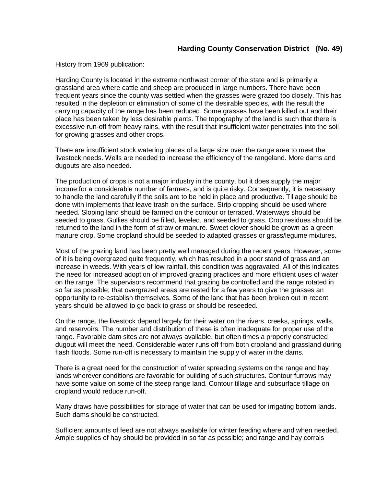## **Harding County Conservation District (No. 49)**

History from 1969 publication:

Harding County is located in the extreme northwest corner of the state and is primarily a grassland area where cattle and sheep are produced in large numbers. There have been frequent years since the county was settled when the grasses were grazed too closely. This has resulted in the depletion or elimination of some of the desirable species, with the result the carrying capacity of the range has been reduced. Some grasses have been killed out and their place has been taken by less desirable plants. The topography of the land is such that there is excessive run-off from heavy rains, with the result that insufficient water penetrates into the soil for growing grasses and other crops.

There are insufficient stock watering places of a large size over the range area to meet the livestock needs. Wells are needed to increase the efficiency of the rangeland. More dams and dugouts are also needed.

The production of crops is not a major industry in the county, but it does supply the major income for a considerable number of farmers, and is quite risky. Consequently, it is necessary to handle the land carefully if the soils are to be held in place and productive. Tillage should be done with implements that leave trash on the surface. Strip cropping should be used where needed. Sloping land should be farmed on the contour or terraced. Waterways should be seeded to grass. Gullies should be filled, leveled, and seeded to grass. Crop residues should be returned to the land in the form of straw or manure. Sweet clover should be grown as a green manure crop. Some cropland should be seeded to adapted grasses or grass/legume mixtures.

Most of the grazing land has been pretty well managed during the recent years. However, some of it is being overgrazed quite frequently, which has resulted in a poor stand of grass and an increase in weeds. With years of low rainfall, this condition was aggravated. All of this indicates the need for increased adoption of improved grazing practices and more efficient uses of water on the range. The supervisors recommend that grazing be controlled and the range rotated in so far as possible; that overgrazed areas are rested for a few years to give the grasses an opportunity to re-establish themselves. Some of the land that has been broken out in recent years should be allowed to go back to grass or should be reseeded.

On the range, the livestock depend largely for their water on the rivers, creeks, springs, wells, and reservoirs. The number and distribution of these is often inadequate for proper use of the range. Favorable dam sites are not always available, but often times a properly constructed dugout will meet the need. Considerable water runs off from both cropland and grassland during flash floods. Some run-off is necessary to maintain the supply of water in the dams.

There is a great need for the construction of water spreading systems on the range and hay lands wherever conditions are favorable for building of such structures. Contour furrows may have some value on some of the steep range land. Contour tillage and subsurface tillage on cropland would reduce run-off.

Many draws have possibilities for storage of water that can be used for irrigating bottom lands. Such dams should be constructed.

Sufficient amounts of feed are not always available for winter feeding where and when needed. Ample supplies of hay should be provided in so far as possible; and range and hay corrals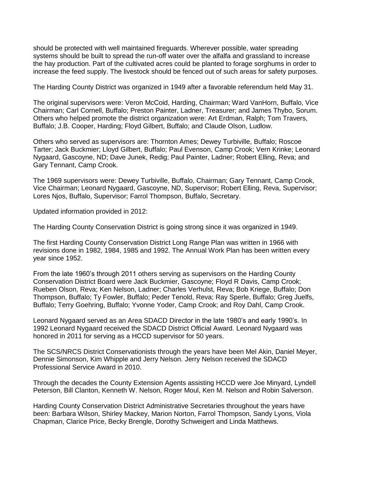should be protected with well maintained fireguards. Wherever possible, water spreading systems should be built to spread the run-off water over the alfalfa and grassland to increase the hay production. Part of the cultivated acres could be planted to forage sorghums in order to increase the feed supply. The livestock should be fenced out of such areas for safety purposes.

The Harding County District was organized in 1949 after a favorable referendum held May 31.

The original supervisors were: Veron McCoid, Harding, Chairman; Ward VanHorn, Buffalo, Vice Chairman; Carl Cornell, Buffalo; Preston Painter, Ladner, Treasurer; and James Thybo, Sorum. Others who helped promote the district organization were: Art Erdman, Ralph; Tom Travers, Buffalo; J.B. Cooper, Harding; Floyd Gilbert, Buffalo; and Claude Olson, Ludlow.

Others who served as supervisors are: Thornton Ames; Dewey Turbiville, Buffalo; Roscoe Tarter; Jack Buckmier; Lloyd Gilbert, Buffalo; Paul Evenson, Camp Crook; Vern Krinke; Leonard Nygaard, Gascoyne, ND; Dave Junek, Redig; Paul Painter, Ladner; Robert Elling, Reva; and Gary Tennant, Camp Crook.

The 1969 supervisors were: Dewey Turbiville, Buffalo, Chairman; Gary Tennant, Camp Crook, Vice Chairman; Leonard Nygaard, Gascoyne, ND, Supervisor; Robert Elling, Reva, Supervisor; Lores Njos, Buffalo, Supervisor; Farrol Thompson, Buffalo, Secretary.

Updated information provided in 2012:

The Harding County Conservation District is going strong since it was organized in 1949.

The first Harding County Conservation District Long Range Plan was written in 1966 with revisions done in 1982, 1984, 1985 and 1992. The Annual Work Plan has been written every year since 1952.

From the late 1960's through 2011 others serving as supervisors on the Harding County Conservation District Board were Jack Buckmier, Gascoyne; Floyd R Davis, Camp Crook; Rueben Olson, Reva; Ken Nelson, Ladner; Charles Verhulst, Reva; Bob Kriege, Buffalo; Don Thompson, Buffalo; Ty Fowler, Buffalo; Peder Tenold, Reva; Ray Sperle, Buffalo; Greg Juelfs, Buffalo; Terry Goehring, Buffalo; Yvonne Yoder, Camp Crook; and Roy Dahl, Camp Crook.

Leonard Nygaard served as an Area SDACD Director in the late 1980's and early 1990's. In 1992 Leonard Nygaard received the SDACD District Official Award. Leonard Nygaard was honored in 2011 for serving as a HCCD supervisor for 50 years.

The SCS/NRCS District Conservationists through the years have been Mel Akin, Daniel Meyer, Dennie Simonson, Kim Whipple and Jerry Nelson. Jerry Nelson received the SDACD Professional Service Award in 2010.

Through the decades the County Extension Agents assisting HCCD were Joe Minyard, Lyndell Peterson, Bill Clanton, Kenneth W. Nelson, Roger Moul, Ken M. Nelson and Robin Salverson.

Harding County Conservation District Administrative Secretaries throughout the years have been: Barbara Wilson, Shirley Mackey, Marion Norton, Farrol Thompson, Sandy Lyons, Viola Chapman, Clarice Price, Becky Brengle, Dorothy Schweigert and Linda Matthews.